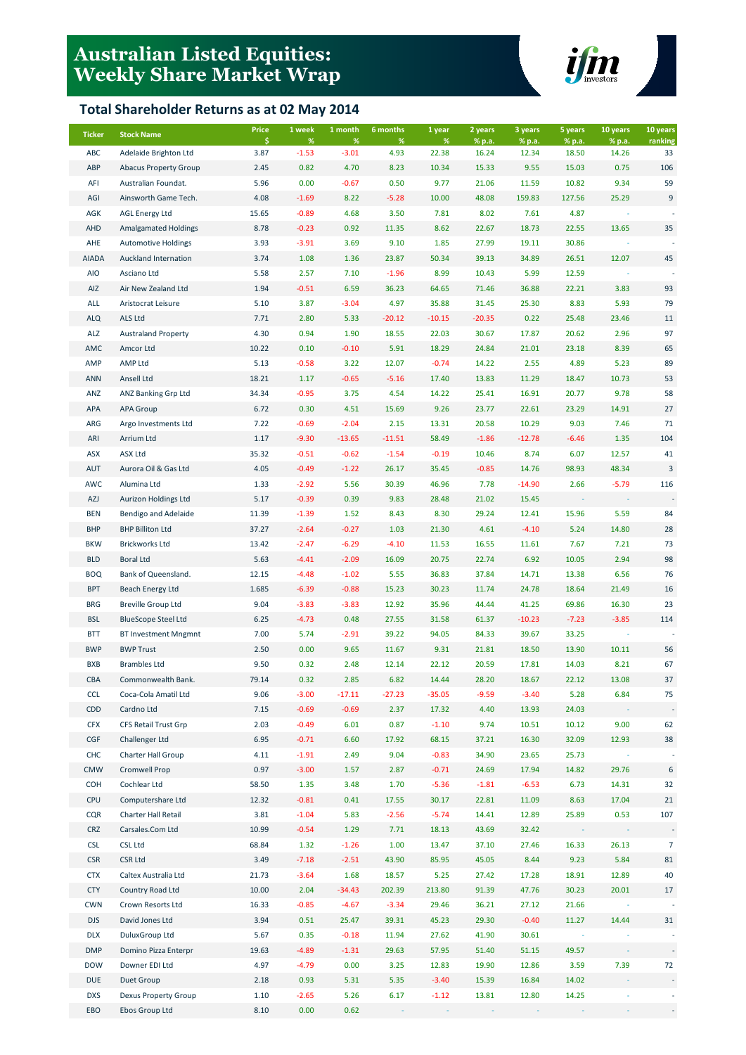# **Australian Listed Equities: Weekly Share Market Wrap**

### **Total Shareholder Returns as at 02 May 2014**



| <b>Ticker</b> | <b>Stock Name</b>            | Price      | 1 week          | 1 month         | 6 months  | 1 year     | 2 years         | 3 years         | 5 years         | 10 years        | 10 years       |
|---------------|------------------------------|------------|-----------------|-----------------|-----------|------------|-----------------|-----------------|-----------------|-----------------|----------------|
| ABC           | Adelaide Brighton Ltd        | \$<br>3.87 | $\%$<br>$-1.53$ | $\%$<br>$-3.01$ | %<br>4.93 | %<br>22.38 | % p.a.<br>16.24 | % p.a.<br>12.34 | % p.a.<br>18.50 | % p.a.<br>14.26 | ranking<br>33  |
| ABP           | <b>Abacus Property Group</b> | 2.45       | 0.82            | 4.70            | 8.23      | 10.34      | 15.33           | 9.55            | 15.03           | 0.75            | 106            |
| AFI           | Australian Foundat.          | 5.96       | 0.00            | $-0.67$         | 0.50      | 9.77       | 21.06           | 11.59           | 10.82           | 9.34            | 59             |
| AGI           | Ainsworth Game Tech.         | 4.08       | $-1.69$         | 8.22            | $-5.28$   | 10.00      | 48.08           | 159.83          | 127.56          | 25.29           | 9              |
| AGK           | <b>AGL Energy Ltd</b>        | 15.65      | $-0.89$         | 4.68            | 3.50      | 7.81       | 8.02            | 7.61            | 4.87            |                 |                |
| AHD           | <b>Amalgamated Holdings</b>  | 8.78       | $-0.23$         | 0.92            | 11.35     | 8.62       | 22.67           | 18.73           | 22.55           | 13.65           | 35             |
| AHE           | <b>Automotive Holdings</b>   | 3.93       | $-3.91$         | 3.69            | 9.10      | 1.85       | 27.99           | 19.11           | 30.86           |                 |                |
| <b>AIADA</b>  | Auckland Internation         | 3.74       | 1.08            | 1.36            | 23.87     | 50.34      | 39.13           | 34.89           | 26.51           | 12.07           | 45             |
| AIO           | Asciano Ltd                  | 5.58       | 2.57            | 7.10            | $-1.96$   | 8.99       | 10.43           | 5.99            | 12.59           |                 |                |
| AIZ           | Air New Zealand Ltd          | 1.94       | $-0.51$         | 6.59            | 36.23     | 64.65      | 71.46           | 36.88           | 22.21           | 3.83            | 93             |
| ALL           | Aristocrat Leisure           | 5.10       | 3.87            | $-3.04$         | 4.97      | 35.88      | 31.45           | 25.30           | 8.83            | 5.93            | 79             |
| <b>ALQ</b>    | <b>ALS Ltd</b>               | 7.71       | 2.80            | 5.33            | $-20.12$  | $-10.15$   | $-20.35$        | 0.22            | 25.48           | 23.46           | 11             |
| ALZ           | <b>Australand Property</b>   | 4.30       | 0.94            | 1.90            | 18.55     | 22.03      | 30.67           | 17.87           | 20.62           | 2.96            | 97             |
| AMC           | Amcor Ltd                    | 10.22      | 0.10            | $-0.10$         | 5.91      | 18.29      | 24.84           | 21.01           | 23.18           | 8.39            | 65             |
| AMP           | AMP Ltd                      | 5.13       | $-0.58$         | 3.22            | 12.07     | $-0.74$    | 14.22           | 2.55            | 4.89            | 5.23            | 89             |
| ANN           | Ansell Ltd                   | 18.21      | 1.17            | $-0.65$         | $-5.16$   | 17.40      | 13.83           | 11.29           | 18.47           | 10.73           | 53             |
| ANZ           | ANZ Banking Grp Ltd          | 34.34      | $-0.95$         | 3.75            | 4.54      | 14.22      | 25.41           | 16.91           | 20.77           | 9.78            | 58             |
| APA           | <b>APA Group</b>             | 6.72       | 0.30            | 4.51            | 15.69     | 9.26       | 23.77           | 22.61           | 23.29           | 14.91           | 27             |
| ARG           | Argo Investments Ltd         | 7.22       | $-0.69$         | $-2.04$         | 2.15      | 13.31      | 20.58           | 10.29           | 9.03            | 7.46            | 71             |
| ARI           | Arrium Ltd                   | 1.17       | $-9.30$         | $-13.65$        | $-11.51$  | 58.49      | $-1.86$         | $-12.78$        | $-6.46$         | 1.35            | 104            |
| ASX           | <b>ASX Ltd</b>               | 35.32      | $-0.51$         | $-0.62$         | $-1.54$   | $-0.19$    | 10.46           | 8.74            | 6.07            | 12.57           | 41             |
| AUT           | Aurora Oil & Gas Ltd         | 4.05       | $-0.49$         | $-1.22$         | 26.17     | 35.45      | $-0.85$         | 14.76           | 98.93           | 48.34           | 3              |
| AWC           | Alumina Ltd                  | 1.33       | $-2.92$         | 5.56            | 30.39     | 46.96      | 7.78            | $-14.90$        | 2.66            | $-5.79$         | 116            |
| AZJ           | Aurizon Holdings Ltd         | 5.17       | $-0.39$         | 0.39            | 9.83      | 28.48      | 21.02           | 15.45           |                 |                 |                |
| <b>BEN</b>    | Bendigo and Adelaide         | 11.39      | $-1.39$         | 1.52            | 8.43      | 8.30       | 29.24           | 12.41           | 15.96           | 5.59            | 84             |
| <b>BHP</b>    | <b>BHP Billiton Ltd</b>      | 37.27      | $-2.64$         | $-0.27$         | 1.03      | 21.30      | 4.61            | $-4.10$         | 5.24            | 14.80           | 28             |
| <b>BKW</b>    | <b>Brickworks Ltd</b>        | 13.42      | $-2.47$         | $-6.29$         | $-4.10$   | 11.53      | 16.55           | 11.61           | 7.67            | 7.21            | 73             |
| <b>BLD</b>    | <b>Boral Ltd</b>             | 5.63       | $-4.41$         | $-2.09$         | 16.09     | 20.75      | 22.74           | 6.92            | 10.05           | 2.94            | 98             |
| <b>BOQ</b>    | Bank of Queensland.          | 12.15      | $-4.48$         | $-1.02$         | 5.55      | 36.83      | 37.84           | 14.71           | 13.38           | 6.56            | 76             |
| <b>BPT</b>    | Beach Energy Ltd             | 1.685      | $-6.39$         | $-0.88$         | 15.23     | 30.23      | 11.74           | 24.78           | 18.64           | 21.49           | 16             |
| <b>BRG</b>    | <b>Breville Group Ltd</b>    | 9.04       | $-3.83$         | $-3.83$         | 12.92     | 35.96      | 44.44           | 41.25           | 69.86           | 16.30           | 23             |
| <b>BSL</b>    | <b>BlueScope Steel Ltd</b>   | 6.25       | $-4.73$         | 0.48            | 27.55     | 31.58      | 61.37           | $-10.23$        | $-7.23$         | $-3.85$         | 114            |
| <b>BTT</b>    | <b>BT Investment Mngmnt</b>  | 7.00       | 5.74            | $-2.91$         | 39.22     | 94.05      | 84.33           | 39.67           | 33.25           |                 |                |
| <b>BWP</b>    | <b>BWP Trust</b>             | 2.50       | 0.00            | 9.65            | 11.67     | 9.31       | 21.81           | 18.50           | 13.90           | 10.11           | 56             |
| <b>BXB</b>    | <b>Brambles Ltd</b>          | 9.50       | 0.32            | 2.48            | 12.14     | 22.12      | 20.59           | 17.81           | 14.03           | 8.21            | 67             |
| CBA           | Commonwealth Bank.           | 79.14      | 0.32            | 2.85            | 6.82      | 14.44      | 28.20           | 18.67           | 22.12           | 13.08           | 37             |
| <b>CCL</b>    | Coca-Cola Amatil Ltd         | 9.06       | $-3.00$         | $-17.11$        | $-27.23$  | $-35.05$   | $-9.59$         | $-3.40$         | 5.28            | 6.84            | 75             |
| <b>CDD</b>    | Cardno Ltd                   | 7.15       | $-0.69$         | $-0.69$         |           |            | 4.40            | 13.93           | 24.03           |                 |                |
|               | CFS Retail Trust Grp         |            |                 |                 | 2.37      | 17.32      |                 |                 |                 |                 |                |
| <b>CFX</b>    |                              | 2.03       | $-0.49$         | 6.01            | 0.87      | $-1.10$    | 9.74            | 10.51           | 10.12           | 9.00            | 62             |
| CGF           | Challenger Ltd               | 6.95       | $-0.71$         | 6.60            | 17.92     | 68.15      | 37.21           | 16.30           | 32.09           | 12.93           | 38             |
| <b>CHC</b>    | Charter Hall Group           | 4.11       | $-1.91$         | 2.49            | 9.04      | $-0.83$    | 34.90           | 23.65           | 25.73           |                 |                |
| <b>CMW</b>    | Cromwell Prop                | 0.97       | $-3.00$         | 1.57            | 2.87      | $-0.71$    | 24.69           | 17.94           | 14.82           | 29.76           | 6              |
| COH           | Cochlear Ltd                 | 58.50      | 1.35            | 3.48            | 1.70      | $-5.36$    | $-1.81$         | $-6.53$         | 6.73            | 14.31           | 32             |
| <b>CPU</b>    | Computershare Ltd            | 12.32      | $-0.81$         | 0.41            | 17.55     | 30.17      | 22.81           | 11.09           | 8.63            | 17.04           | 21             |
| CQR           | Charter Hall Retail          | 3.81       | $-1.04$         | 5.83            | $-2.56$   | $-5.74$    | 14.41           | 12.89           | 25.89           | 0.53            | 107            |
| CRZ           | Carsales.Com Ltd             | 10.99      | $-0.54$         | 1.29            | 7.71      | 18.13      | 43.69           | 32.42           |                 |                 |                |
| <b>CSL</b>    | <b>CSL Ltd</b>               | 68.84      | 1.32            | $-1.26$         | 1.00      | 13.47      | 37.10           | 27.46           | 16.33           | 26.13           | $\overline{7}$ |
| <b>CSR</b>    | <b>CSR Ltd</b>               | 3.49       | $-7.18$         | $-2.51$         | 43.90     | 85.95      | 45.05           | 8.44            | 9.23            | 5.84            | 81             |
| <b>CTX</b>    | Caltex Australia Ltd         | 21.73      | $-3.64$         | 1.68            | 18.57     | 5.25       | 27.42           | 17.28           | 18.91           | 12.89           | 40             |
| <b>CTY</b>    | Country Road Ltd             | 10.00      | 2.04            | $-34.43$        | 202.39    | 213.80     | 91.39           | 47.76           | 30.23           | 20.01           | 17             |
| <b>CWN</b>    | Crown Resorts Ltd            | 16.33      | $-0.85$         | $-4.67$         | $-3.34$   | 29.46      | 36.21           | 27.12           | 21.66           |                 |                |
| <b>DJS</b>    | David Jones Ltd              | 3.94       | 0.51            | 25.47           | 39.31     | 45.23      | 29.30           | $-0.40$         | 11.27           | 14.44           | 31             |
| <b>DLX</b>    | DuluxGroup Ltd               | 5.67       | 0.35            | $-0.18$         | 11.94     | 27.62      | 41.90           | 30.61           |                 |                 |                |
| <b>DMP</b>    | Domino Pizza Enterpr         | 19.63      | $-4.89$         | $-1.31$         | 29.63     | 57.95      | 51.40           | 51.15           | 49.57           |                 |                |
| <b>DOW</b>    | Downer EDI Ltd               | 4.97       | $-4.79$         | 0.00            | 3.25      | 12.83      | 19.90           | 12.86           | 3.59            | 7.39            | 72             |
| <b>DUE</b>    | Duet Group                   | 2.18       | 0.93            | 5.31            | 5.35      | $-3.40$    | 15.39           | 16.84           | 14.02           |                 |                |
| <b>DXS</b>    | Dexus Property Group         | 1.10       | $-2.65$         | 5.26            | 6.17      | $-1.12$    | 13.81           | 12.80           | 14.25           |                 |                |
| EBO           | Ebos Group Ltd               | 8.10       | 0.00            | 0.62            |           |            |                 |                 |                 |                 |                |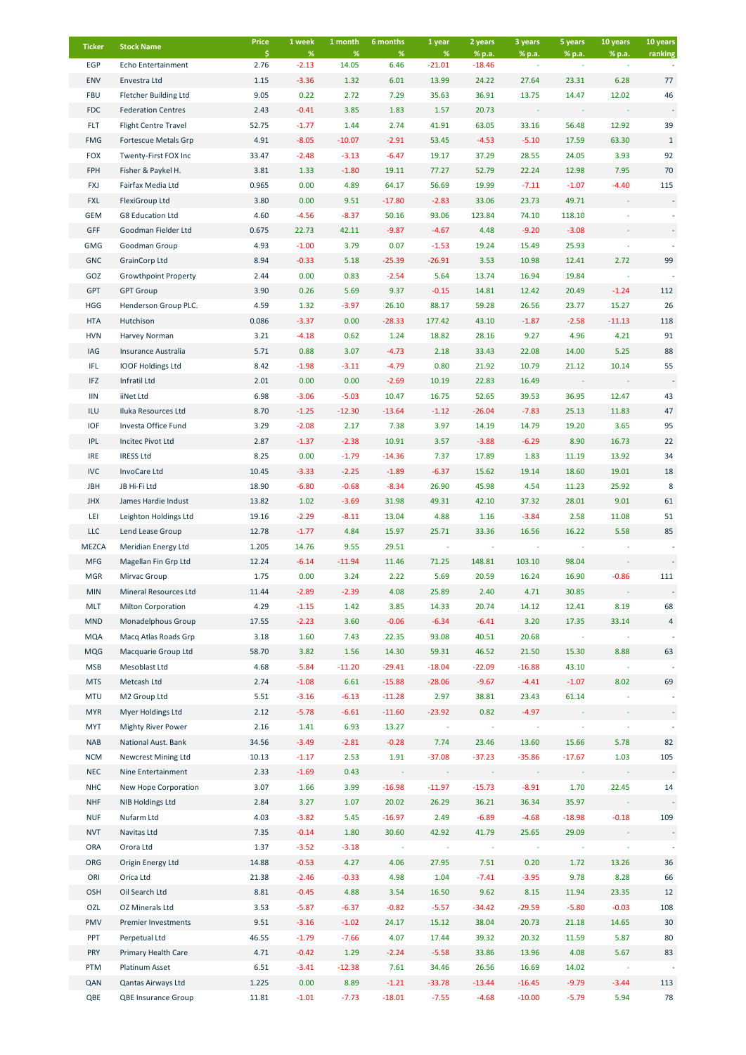| <b>Ticker</b>     | <b>Stock Name</b>                                 | Price<br>\$.   | 1 week<br>$\%$     | 1 month<br>$\%$ | 6 months<br>%      | 1 year<br>%      | 2 years<br>% p.a. | 3 years<br>% p.a. | 5 years<br>% p.a. | 10 years<br>% p.a. | 10 years<br>ranking |
|-------------------|---------------------------------------------------|----------------|--------------------|-----------------|--------------------|------------------|-------------------|-------------------|-------------------|--------------------|---------------------|
| EGP               | Echo Entertainment                                | 2.76           | $-2.13$            | 14.05           | 6.46               | $-21.01$         | $-18.46$          |                   |                   |                    |                     |
| <b>ENV</b>        | Envestra Ltd                                      | 1.15           | $-3.36$            | 1.32            | 6.01               | 13.99            | 24.22             | 27.64             | 23.31             | 6.28               | 77                  |
| <b>FBU</b>        | <b>Fletcher Building Ltd</b>                      | 9.05           | 0.22               | 2.72            | 7.29               | 35.63            | 36.91             | 13.75             | 14.47             | 12.02              | 46                  |
| <b>FDC</b>        | <b>Federation Centres</b>                         | 2.43           | $-0.41$            | 3.85            | 1.83               | 1.57             | 20.73             |                   |                   |                    |                     |
| <b>FLT</b>        | Flight Centre Travel                              | 52.75          | $-1.77$            | 1.44            | 2.74               | 41.91            | 63.05             | 33.16             | 56.48             | 12.92              | 39                  |
| <b>FMG</b>        | Fortescue Metals Grp                              | 4.91           | $-8.05$            | $-10.07$        | $-2.91$            | 53.45            | $-4.53$           | $-5.10$           | 17.59             | 63.30              | $\mathbf{1}$        |
| <b>FOX</b>        | Twenty-First FOX Inc                              | 33.47          | $-2.48$            | $-3.13$         | $-6.47$            | 19.17            | 37.29             | 28.55             | 24.05             | 3.93               | 92                  |
| FPH               | Fisher & Paykel H.                                | 3.81           | 1.33               | $-1.80$         | 19.11              | 77.27            | 52.79             | 22.24             | 12.98             | 7.95               | 70                  |
| <b>FXJ</b>        | Fairfax Media Ltd                                 | 0.965          | 0.00               | 4.89            | 64.17              | 56.69            | 19.99             | $-7.11$           | $-1.07$           | $-4.40$            | 115                 |
| <b>FXL</b>        | FlexiGroup Ltd                                    | 3.80           | 0.00               | 9.51            | $-17.80$           | $-2.83$          | 33.06             | 23.73             | 49.71             |                    |                     |
| <b>GEM</b>        | <b>G8 Education Ltd</b>                           | 4.60           | $-4.56$            | $-8.37$         | 50.16              | 93.06            | 123.84            | 74.10             | 118.10            |                    |                     |
| GFF               | Goodman Fielder Ltd                               | 0.675          | 22.73              | 42.11           | $-9.87$            | $-4.67$          | 4.48              | $-9.20$           | $-3.08$           |                    |                     |
| GMG               | Goodman Group                                     | 4.93           | $-1.00$            | 3.79            | 0.07               | $-1.53$          | 19.24             | 15.49             | 25.93             |                    |                     |
| <b>GNC</b>        | <b>GrainCorp Ltd</b>                              | 8.94           | $-0.33$            | 5.18            | $-25.39$           | $-26.91$         | 3.53              | 10.98             | 12.41             | 2.72               | 99                  |
| GOZ               | <b>Growthpoint Property</b>                       | 2.44           | 0.00               | 0.83            | $-2.54$            | 5.64             | 13.74             | 16.94             | 19.84             |                    |                     |
| <b>GPT</b>        | <b>GPT Group</b>                                  | 3.90           | 0.26               | 5.69            | 9.37               | $-0.15$          | 14.81             | 12.42             | 20.49             | $-1.24$            | 112                 |
| <b>HGG</b>        | Henderson Group PLC.                              | 4.59           | 1.32               | $-3.97$         | 26.10              | 88.17            | 59.28             | 26.56             | 23.77             | 15.27              | 26                  |
| <b>HTA</b>        | Hutchison                                         | 0.086          | $-3.37$            | 0.00            | $-28.33$           | 177.42           | 43.10             | $-1.87$           | $-2.58$           | $-11.13$           | 118                 |
| <b>HVN</b>        | Harvey Norman                                     | 3.21           | $-4.18$            | 0.62            | 1.24               | 18.82            | 28.16             | 9.27              | 4.96              | 4.21               | 91                  |
| IAG               | Insurance Australia                               | 5.71           | 0.88               | 3.07            | $-4.73$            | 2.18             | 33.43             | 22.08             | 14.00             | 5.25               | 88                  |
| IFL<br><b>IFZ</b> | <b>IOOF Holdings Ltd</b><br>Infratil Ltd          | 8.42<br>2.01   | $-1.98$<br>0.00    | $-3.11$<br>0.00 | $-4.79$<br>$-2.69$ | 0.80<br>10.19    | 21.92<br>22.83    | 10.79<br>16.49    | 21.12             | 10.14              | 55                  |
| $\textsf{IIN}$    | iiNet Ltd                                         | 6.98           | $-3.06$            | $-5.03$         | 10.47              | 16.75            | 52.65             | 39.53             | 36.95             | 12.47              | 43                  |
| ILU               | Iluka Resources Ltd                               | 8.70           | $-1.25$            | $-12.30$        | $-13.64$           | $-1.12$          | $-26.04$          | $-7.83$           | 25.13             | 11.83              | 47                  |
| <b>IOF</b>        | Investa Office Fund                               | 3.29           | $-2.08$            | 2.17            | 7.38               | 3.97             | 14.19             | 14.79             | 19.20             | 3.65               | 95                  |
| <b>IPL</b>        | Incitec Pivot Ltd                                 | 2.87           | $-1.37$            | $-2.38$         | 10.91              | 3.57             | $-3.88$           | $-6.29$           | 8.90              | 16.73              | 22                  |
| <b>IRE</b>        | <b>IRESS Ltd</b>                                  | 8.25           | 0.00               | $-1.79$         | $-14.36$           | 7.37             | 17.89             | 1.83              | 11.19             | 13.92              | 34                  |
| <b>IVC</b>        | InvoCare Ltd                                      | 10.45          | $-3.33$            | $-2.25$         | $-1.89$            | $-6.37$          | 15.62             | 19.14             | 18.60             | 19.01              | 18                  |
| <b>JBH</b>        | JB Hi-Fi Ltd                                      | 18.90          | $-6.80$            | $-0.68$         | $-8.34$            | 26.90            | 45.98             | 4.54              | 11.23             | 25.92              | 8                   |
| <b>JHX</b>        | James Hardie Indust                               | 13.82          | 1.02               | $-3.69$         | 31.98              | 49.31            | 42.10             | 37.32             | 28.01             | 9.01               | 61                  |
| LEI               | Leighton Holdings Ltd                             | 19.16          | $-2.29$            | $-8.11$         | 13.04              | 4.88             | 1.16              | $-3.84$           | 2.58              | 11.08              | 51                  |
| <b>LLC</b>        | Lend Lease Group                                  | 12.78          | $-1.77$            | 4.84            | 15.97              | 25.71            | 33.36             | 16.56             | 16.22             | 5.58               | 85                  |
| <b>MEZCA</b>      | Meridian Energy Ltd                               | 1.205          | 14.76              | 9.55            | 29.51              |                  |                   |                   |                   |                    |                     |
| <b>MFG</b>        | Magellan Fin Grp Ltd                              | 12.24          | $-6.14$            | $-11.94$        | 11.46              | 71.25            | 148.81            | 103.10            | 98.04             |                    |                     |
| <b>MGR</b>        | Mirvac Group                                      | 1.75           | 0.00               | 3.24            | 2.22               | 5.69             | 20.59             | 16.24             | 16.90             | $-0.86$            | 111                 |
| <b>MIN</b>        | Mineral Resources Ltd                             | 11.44          | $-2.89$            | $-2.39$         | 4.08               | 25.89            | 2.40              | 4.71              | 30.85             |                    |                     |
| <b>MLT</b>        | <b>Milton Corporation</b>                         | 4.29           | $-1.15$            | 1.42            | 3.85               | 14.33            | 20.74             | 14.12             | 12.41             | 8.19               | 68                  |
| <b>MND</b>        | Monadelphous Group                                | 17.55          | $-2.23$            | 3.60            | $-0.06$            | $-6.34$          | $-6.41$           | 3.20              | 17.35             | 33.14              | 4                   |
| <b>MQA</b>        | Macq Atlas Roads Grp                              | 3.18           | 1.60               | 7.43            | 22.35              | 93.08            | 40.51             | 20.68             |                   |                    |                     |
| <b>MQG</b>        | Macquarie Group Ltd                               | 58.70          | 3.82               | 1.56            | 14.30              | 59.31            | 46.52             | 21.50             | 15.30             | 8.88               | 63                  |
| <b>MSB</b>        | Mesoblast Ltd                                     | 4.68           | $-5.84$            | $-11.20$        | $-29.41$           | $-18.04$         | $-22.09$          | $-16.88$          | 43.10             |                    |                     |
| <b>MTS</b>        | Metcash Ltd                                       | 2.74           | $-1.08$            | 6.61            | $-15.88$           | $-28.06$         | $-9.67$           | $-4.41$           | $-1.07$           | 8.02               | 69                  |
| <b>MTU</b>        | M2 Group Ltd                                      | 5.51           | $-3.16$            | $-6.13$         | $-11.28$           | 2.97             | 38.81             | 23.43             | 61.14             |                    |                     |
| <b>MYR</b>        | Myer Holdings Ltd                                 | 2.12           | $-5.78$            | $-6.61$         | $-11.60$           | $-23.92$         | 0.82              | $-4.97$           |                   |                    |                     |
| MYT<br><b>NAB</b> | <b>Mighty River Power</b>                         | 2.16           | 1.41               | 6.93            | 13.27              |                  |                   |                   |                   |                    |                     |
| <b>NCM</b>        | National Aust. Bank<br><b>Newcrest Mining Ltd</b> | 34.56<br>10.13 | $-3.49$<br>$-1.17$ | $-2.81$<br>2.53 | $-0.28$<br>1.91    | 7.74<br>$-37.08$ | 23.46<br>$-37.23$ | 13.60<br>$-35.86$ | 15.66<br>$-17.67$ | 5.78<br>1.03       | 82<br>105           |
| <b>NEC</b>        | Nine Entertainment                                | 2.33           | $-1.69$            | 0.43            |                    |                  |                   |                   |                   |                    |                     |
| <b>NHC</b>        | New Hope Corporation                              | 3.07           | 1.66               | 3.99            | $-16.98$           | $-11.97$         | $-15.73$          | $-8.91$           | 1.70              | 22.45              | 14                  |
| <b>NHF</b>        | NIB Holdings Ltd                                  | 2.84           | 3.27               | 1.07            | 20.02              | 26.29            | 36.21             | 36.34             | 35.97             |                    |                     |
| <b>NUF</b>        | Nufarm Ltd                                        | 4.03           | $-3.82$            | 5.45            | $-16.97$           | 2.49             | $-6.89$           | $-4.68$           | $-18.98$          | $-0.18$            | 109                 |
| <b>NVT</b>        | Navitas Ltd                                       | 7.35           | $-0.14$            | 1.80            | 30.60              | 42.92            | 41.79             | 25.65             | 29.09             |                    |                     |
| ORA               | Orora Ltd                                         | 1.37           | $-3.52$            | $-3.18$         |                    |                  |                   |                   |                   |                    |                     |
| ORG               | Origin Energy Ltd                                 | 14.88          | $-0.53$            | 4.27            | 4.06               | 27.95            | 7.51              | 0.20              | 1.72              | 13.26              | 36                  |
| ORI               | Orica Ltd                                         | 21.38          | $-2.46$            | $-0.33$         | 4.98               | 1.04             | $-7.41$           | $-3.95$           | 9.78              | 8.28               | 66                  |
| OSH               | Oil Search Ltd                                    | 8.81           | $-0.45$            | 4.88            | 3.54               | 16.50            | 9.62              | 8.15              | 11.94             | 23.35              | 12                  |
| OZL               | OZ Minerals Ltd                                   | 3.53           | $-5.87$            | $-6.37$         | $-0.82$            | $-5.57$          | $-34.42$          | $-29.59$          | $-5.80$           | $-0.03$            | 108                 |
| PMV               | Premier Investments                               | 9.51           | $-3.16$            | $-1.02$         | 24.17              | 15.12            | 38.04             | 20.73             | 21.18             | 14.65              | 30                  |
| PPT               | Perpetual Ltd                                     | 46.55          | $-1.79$            | $-7.66$         | 4.07               | 17.44            | 39.32             | 20.32             | 11.59             | 5.87               | 80                  |
| <b>PRY</b>        | Primary Health Care                               | 4.71           | $-0.42$            | 1.29            | $-2.24$            | $-5.58$          | 33.86             | 13.96             | 4.08              | 5.67               | 83                  |
| PTM               | Platinum Asset                                    | 6.51           | $-3.41$            | $-12.38$        | 7.61               | 34.46            | 26.56             | 16.69             | 14.02             |                    |                     |
| QAN               | Qantas Airways Ltd                                | 1.225          | 0.00               | 8.89            | $-1.21$            | $-33.78$         | $-13.44$          | $-16.45$          | $-9.79$           | $-3.44$            | 113                 |
| QBE               | <b>QBE Insurance Group</b>                        | 11.81          | $-1.01$            | $-7.73$         | $-18.01$           | $-7.55$          | $-4.68$           | $-10.00$          | $-5.79$           | 5.94               | 78                  |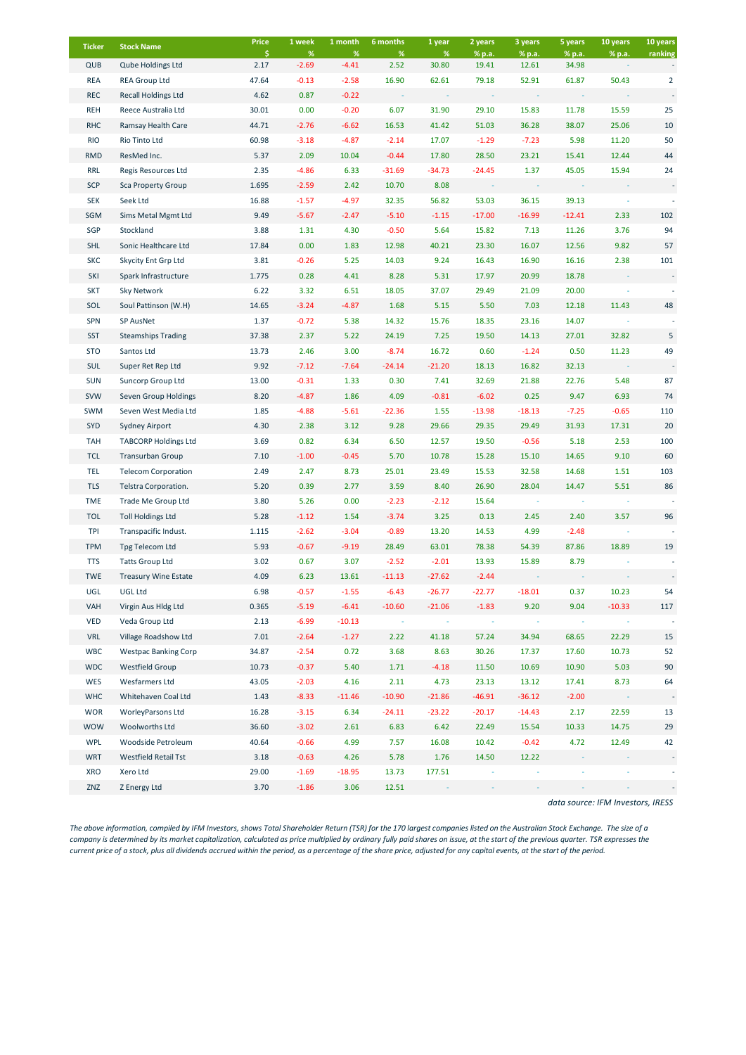| <b>Ticker</b> | <b>Stock Name</b>           | Price      | 1 week          | 1 month         | 6 months  | 1 year        | 2 years         | 3 years         | 5 years         | 10 years | 10 years       |
|---------------|-----------------------------|------------|-----------------|-----------------|-----------|---------------|-----------------|-----------------|-----------------|----------|----------------|
| QUB           | Qube Holdings Ltd           | \$<br>2.17 | $\%$<br>$-2.69$ | $\%$<br>$-4.41$ | %<br>2.52 | $\%$<br>30.80 | % p.a.<br>19.41 | % p.a.<br>12.61 | % p.a.<br>34.98 | % p.a.   | ranking        |
| <b>REA</b>    | <b>REA Group Ltd</b>        | 47.64      | $-0.13$         | $-2.58$         | 16.90     | 62.61         | 79.18           | 52.91           | 61.87           | 50.43    | $\overline{2}$ |
| <b>REC</b>    | <b>Recall Holdings Ltd</b>  | 4.62       | 0.87            | $-0.22$         |           |               |                 |                 |                 |          |                |
| <b>REH</b>    | Reece Australia Ltd         | 30.01      | 0.00            | $-0.20$         | 6.07      | 31.90         | 29.10           | 15.83           | 11.78           | 15.59    | 25             |
| <b>RHC</b>    | Ramsay Health Care          | 44.71      | $-2.76$         | $-6.62$         | 16.53     | 41.42         | 51.03           | 36.28           | 38.07           | 25.06    | 10             |
| <b>RIO</b>    | Rio Tinto Ltd               | 60.98      | $-3.18$         | $-4.87$         | $-2.14$   | 17.07         | $-1.29$         | $-7.23$         | 5.98            | 11.20    | 50             |
| <b>RMD</b>    | ResMed Inc.                 | 5.37       | 2.09            | 10.04           | $-0.44$   | 17.80         | 28.50           | 23.21           | 15.41           | 12.44    | 44             |
| RRL           | Regis Resources Ltd         | 2.35       | $-4.86$         | 6.33            | $-31.69$  | $-34.73$      | $-24.45$        | 1.37            | 45.05           | 15.94    | 24             |
| <b>SCP</b>    | <b>Sca Property Group</b>   | 1.695      | $-2.59$         | 2.42            | 10.70     | 8.08          |                 |                 |                 |          |                |
| <b>SEK</b>    | Seek Ltd                    | 16.88      | $-1.57$         | $-4.97$         | 32.35     | 56.82         | 53.03           | 36.15           | 39.13           |          |                |
| SGM           | Sims Metal Mgmt Ltd         | 9.49       | $-5.67$         | $-2.47$         | $-5.10$   | $-1.15$       | $-17.00$        | $-16.99$        | $-12.41$        | 2.33     | 102            |
| SGP           | Stockland                   | 3.88       | 1.31            | 4.30            | $-0.50$   | 5.64          | 15.82           | 7.13            | 11.26           | 3.76     | 94             |
| <b>SHL</b>    | Sonic Healthcare Ltd        | 17.84      | 0.00            | 1.83            | 12.98     | 40.21         | 23.30           | 16.07           | 12.56           | 9.82     | 57             |
| <b>SKC</b>    | Skycity Ent Grp Ltd         | 3.81       | $-0.26$         | 5.25            | 14.03     | 9.24          | 16.43           | 16.90           | 16.16           | 2.38     | 101            |
| SKI           | Spark Infrastructure        | 1.775      | 0.28            | 4.41            | 8.28      | 5.31          | 17.97           | 20.99           | 18.78           |          |                |
| <b>SKT</b>    | Sky Network                 | 6.22       | 3.32            | 6.51            | 18.05     | 37.07         | 29.49           | 21.09           | 20.00           |          |                |
| SOL           | Soul Pattinson (W.H)        | 14.65      | $-3.24$         | $-4.87$         | 1.68      | 5.15          | 5.50            | 7.03            | 12.18           | 11.43    | 48             |
| SPN           | SP AusNet                   | 1.37       | $-0.72$         | 5.38            | 14.32     | 15.76         | 18.35           | 23.16           | 14.07           |          |                |
| <b>SST</b>    | <b>Steamships Trading</b>   | 37.38      | 2.37            | 5.22            | 24.19     | 7.25          | 19.50           | 14.13           | 27.01           | 32.82    | 5              |
| <b>STO</b>    | Santos Ltd                  | 13.73      | 2.46            | 3.00            | $-8.74$   | 16.72         | 0.60            | $-1.24$         | 0.50            | 11.23    | 49             |
| <b>SUL</b>    | Super Ret Rep Ltd           | 9.92       | $-7.12$         | $-7.64$         | $-24.14$  | $-21.20$      | 18.13           | 16.82           | 32.13           |          |                |
| <b>SUN</b>    | Suncorp Group Ltd           | 13.00      | $-0.31$         | 1.33            | 0.30      | 7.41          | 32.69           | 21.88           | 22.76           | 5.48     | 87             |
| <b>SVW</b>    | Seven Group Holdings        | 8.20       | $-4.87$         | 1.86            | 4.09      | $-0.81$       | $-6.02$         | 0.25            | 9.47            | 6.93     | 74             |
| SWM           | Seven West Media Ltd        | 1.85       | $-4.88$         | $-5.61$         | $-22.36$  | 1.55          | $-13.98$        | $-18.13$        | $-7.25$         | $-0.65$  | 110            |
| SYD           | Sydney Airport              | 4.30       | 2.38            | 3.12            | 9.28      | 29.66         | 29.35           | 29.49           | 31.93           | 17.31    | 20             |
| <b>TAH</b>    | <b>TABCORP Holdings Ltd</b> | 3.69       | 0.82            | 6.34            | 6.50      | 12.57         | 19.50           | $-0.56$         | 5.18            | 2.53     | 100            |
| <b>TCL</b>    | <b>Transurban Group</b>     | 7.10       | $-1.00$         | $-0.45$         | 5.70      | 10.78         | 15.28           | 15.10           | 14.65           | 9.10     | 60             |
| <b>TEL</b>    | <b>Telecom Corporation</b>  | 2.49       | 2.47            | 8.73            | 25.01     | 23.49         | 15.53           | 32.58           | 14.68           | 1.51     | 103            |
| <b>TLS</b>    | Telstra Corporation.        | 5.20       | 0.39            | 2.77            | 3.59      | 8.40          | 26.90           | 28.04           | 14.47           | 5.51     | 86             |
| <b>TME</b>    | Trade Me Group Ltd          | 3.80       | 5.26            | 0.00            | $-2.23$   | $-2.12$       | 15.64           |                 |                 |          |                |
| <b>TOL</b>    | <b>Toll Holdings Ltd</b>    | 5.28       | $-1.12$         | 1.54            | $-3.74$   | 3.25          | 0.13            | 2.45            | 2.40            | 3.57     | 96             |
| <b>TPI</b>    | Transpacific Indust.        | 1.115      | $-2.62$         | $-3.04$         | $-0.89$   | 13.20         | 14.53           | 4.99            | $-2.48$         |          |                |
| <b>TPM</b>    | Tpg Telecom Ltd             | 5.93       | $-0.67$         | $-9.19$         | 28.49     | 63.01         | 78.38           | 54.39           | 87.86           | 18.89    | 19             |
| <b>TTS</b>    | <b>Tatts Group Ltd</b>      | 3.02       | 0.67            | 3.07            | $-2.52$   | $-2.01$       | 13.93           | 15.89           | 8.79            |          |                |
| <b>TWE</b>    | <b>Treasury Wine Estate</b> | 4.09       | 6.23            | 13.61           | $-11.13$  | $-27.62$      | $-2.44$         |                 |                 |          |                |
| UGL           | UGL Ltd                     | 6.98       | $-0.57$         | $-1.55$         | $-6.43$   | $-26.77$      | $-22.77$        | $-18.01$        | 0.37            | 10.23    | 54             |
| VAH           | Virgin Aus Hldg Ltd         | 0.365      | $-5.19$         | $-6.41$         | $-10.60$  | $-21.06$      | $-1.83$         | 9.20            | 9.04            | $-10.33$ | 117            |
| <b>VED</b>    | Veda Group Ltd              | 2.13       | $-6.99$         | $-10.13$        |           |               |                 |                 |                 |          |                |
| <b>VRL</b>    | Village Roadshow Ltd        | 7.01       | $-2.64$         | $-1.27$         | 2.22      | 41.18         | 57.24           | 34.94           | 68.65           | 22.29    | 15             |
| WBC           | <b>Westpac Banking Corp</b> | 34.87      | $-2.54$         | 0.72            | 3.68      | 8.63          | 30.26           | 17.37           | 17.60           | 10.73    | 52             |
| <b>WDC</b>    | <b>Westfield Group</b>      | 10.73      | $-0.37$         | 5.40            | 1.71      | $-4.18$       | 11.50           | 10.69           | 10.90           | 5.03     | 90             |
| WES           | Wesfarmers Ltd              | 43.05      | $-2.03$         | 4.16            | 2.11      | 4.73          | 23.13           | 13.12           | 17.41           | 8.73     | 64             |
| <b>WHC</b>    | Whitehaven Coal Ltd         | 1.43       | $-8.33$         | $-11.46$        | $-10.90$  | $-21.86$      | $-46.91$        | $-36.12$        | $-2.00$         |          |                |
| <b>WOR</b>    | WorleyParsons Ltd           | 16.28      | $-3.15$         | 6.34            | $-24.11$  | $-23.22$      | $-20.17$        | $-14.43$        | 2.17            | 22.59    | 13             |
| <b>WOW</b>    | Woolworths Ltd              | 36.60      | $-3.02$         | 2.61            | 6.83      | 6.42          | 22.49           | 15.54           | 10.33           | 14.75    | 29             |
| WPL           | Woodside Petroleum          | 40.64      | $-0.66$         | 4.99            | 7.57      | 16.08         | 10.42           | $-0.42$         | 4.72            | 12.49    | 42             |
| <b>WRT</b>    | Westfield Retail Tst        | 3.18       | $-0.63$         | 4.26            | 5.78      | 1.76          | 14.50           | 12.22           |                 |          |                |
| XRO           | Xero Ltd                    | 29.00      | $-1.69$         | $-18.95$        | 13.73     | 177.51        |                 |                 |                 |          |                |
| ZNZ           | Z Energy Ltd                | 3.70       | $-1.86$         | 3.06            | 12.51     |               |                 |                 |                 |          |                |

*data source: IFM Investors, IRESS*

*The above information, compiled by IFM Investors, shows Total Shareholder Return (TSR) for the 170 largest companies listed on the Australian Stock Exchange. The size of a company is determined by its market capitalization, calculated as price multiplied by ordinary fully paid shares on issue, at the start of the previous quarter. TSR expresses the current price of a stock, plus all dividends accrued within the period, as a percentage of the share price, adjusted for any capital events, at the start of the period.*